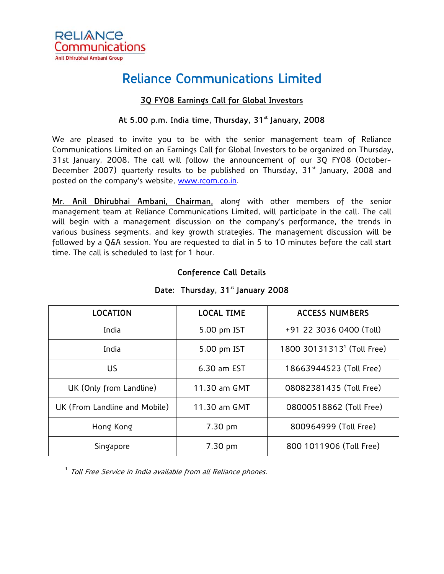

# Reliance Communications Limited

### 3Q FY08 Earnings Call for Global Investors

#### At 5.00 p.m. India time, Thursday,  $31<sup>*</sup>$  January, 2008

We are pleased to invite you to be with the senior management team of Reliance Communications Limited on an Earnings Call for Global Investors to be organized on Thursday, 31st January, 2008. The call will follow the announcement of our 3Q FY08 (October-December 2007) quarterly results to be published on Thursday, 31<sup>st</sup> January, 2008 and posted on the company's website, [www.rcom.co.in.](http://www.rcom.co.in/)

Mr. Anil Dhirubhai Ambani, Chairman, along with other members of the senior management team at Reliance Communications Limited, will participate in the call. The call will begin with a management discussion on the company's performance, the trends in various business segments, and key growth strategies. The management discussion will be followed by a Q&A session. You are requested to dial in 5 to 10 minutes before the call start time. The call is scheduled to last for 1 hour.

| <b>LOCATION</b>               | <b>LOCAL TIME</b> | <b>ACCESS NUMBERS</b>                  |
|-------------------------------|-------------------|----------------------------------------|
| India                         | 5.00 pm IST       | +91 22 3036 0400 (Toll)                |
| India                         | 5.00 pm IST       | 1800 30131313 <sup>1</sup> (Toll Free) |
| US.                           | 6.30 am EST       | 18663944523 (Toll Free)                |
| UK (Only from Landline)       | 11.30 am GMT      | 08082381435 (Toll Free)                |
| UK (From Landline and Mobile) | 11.30 am GMT      | 08000518862 (Toll Free)                |
| Hong Kong                     | 7.30 pm           | 800964999 (Toll Free)                  |
| Singapore                     | 7.30 pm           | 800 1011906 (Toll Free)                |

#### Conference Call Details

## Date: Thursday, 31<sup>st</sup> January 2008

<sup>1</sup> Toll Free Service in India available from all Reliance phones.